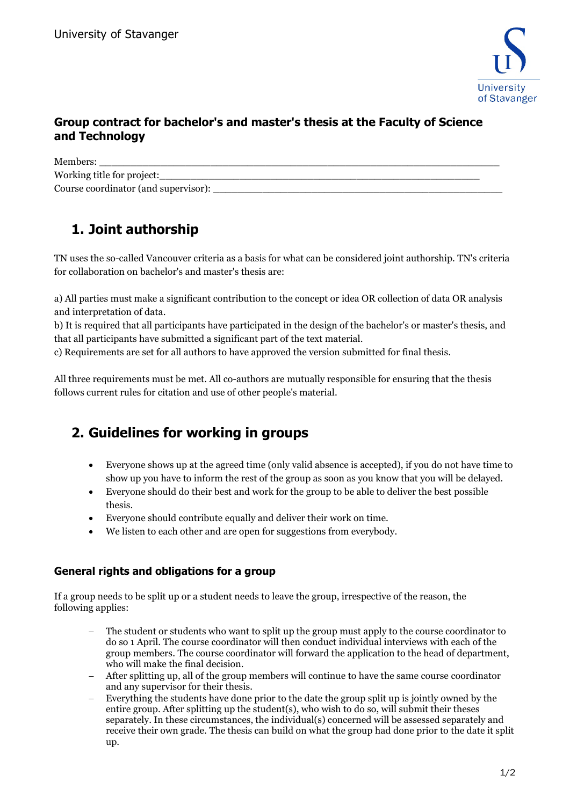

## **Group contract for bachelor's and master's thesis at the Faculty of Science and Technology**

Members: \_\_\_\_\_\_\_\_\_\_\_\_\_\_\_\_\_\_\_\_\_\_\_\_\_\_\_\_\_\_\_\_\_\_\_\_\_\_\_\_\_\_\_\_\_\_\_\_\_\_\_\_\_\_\_\_\_\_\_\_\_\_\_\_\_ Working title for project: Course coordinator (and supervisor):

## **1. Joint authorship**

TN uses the so-called Vancouver criteria as a basis for what can be considered joint authorship. TN's criteria for collaboration on bachelor's and master's thesis are:

a) All parties must make a significant contribution to the concept or idea OR collection of data OR analysis and interpretation of data.

b) It is required that all participants have participated in the design of the bachelor's or master's thesis, and that all participants have submitted a significant part of the text material.

c) Requirements are set for all authors to have approved the version submitted for final thesis.

All three requirements must be met. All co-authors are mutually responsible for ensuring that the thesis follows current rules for citation and use of other people's material.

## **2. Guidelines for working in groups**

- Everyone shows up at the agreed time (only valid absence is accepted), if you do not have time to show up you have to inform the rest of the group as soon as you know that you will be delayed.
- Everyone should do their best and work for the group to be able to deliver the best possible thesis.
- Everyone should contribute equally and deliver their work on time.
- We listen to each other and are open for suggestions from everybody.

## **General rights and obligations for a group**

If a group needs to be split up or a student needs to leave the group, irrespective of the reason, the following applies:

- The student or students who want to split up the group must apply to the course coordinator to do so 1 April. The course coordinator will then conduct individual interviews with each of the group members. The course coordinator will forward the application to the head of department, who will make the final decision.
- − After splitting up, all of the group members will continue to have the same course coordinator and any supervisor for their thesis.
- Everything the students have done prior to the date the group split up is jointly owned by the entire group. After splitting up the student(s), who wish to do so, will submit their theses separately. In these circumstances, the individual(s) concerned will be assessed separately and receive their own grade. The thesis can build on what the group had done prior to the date it split up.